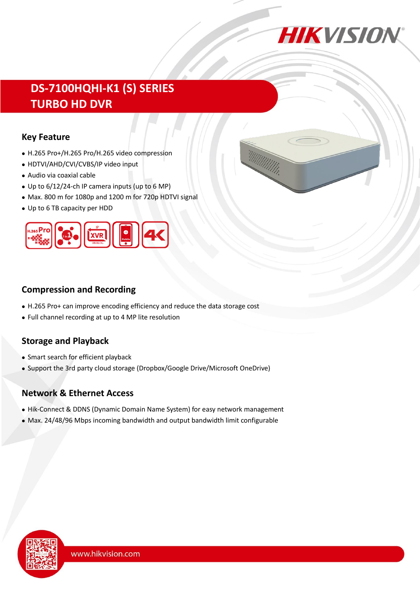

# **DS-7100HQHI-K1 (S) SERIES TURBO HD DVR**

#### **Key Feature**

- ⚫ H.265 Pro+/H.265 Pro/H.265 video compression
- ⚫ HDTVI/AHD/CVI/CVBS/IP video input
- ⚫ Audio via coaxial cable
- ⚫ Up to 6/12/24-ch IP camera inputs (up to 6 MP)
- ⚫ Max. 800 m for 1080p and 1200 m for 720p HDTVI signal
- ⚫ Up to 6 TB capacity per HDD



### **Compression and Recording**

- ⚫ H.265 Pro+ can improve encoding efficiency and reduce the data storage cost
- ⚫ Full channel recording at up to 4 MP lite resolution

### **Storage and Playback**

- ⚫ Smart search for efficient playback
- ⚫ Support the 3rd party cloud storage (Dropbox/Google Drive/Microsoft OneDrive)

### **Network & Ethernet Access**

- ⚫ Hik-Connect & DDNS (Dynamic Domain Name System) for easy network management
- ⚫ Max. 24/48/96 Mbps incoming bandwidth and output bandwidth limit configurable

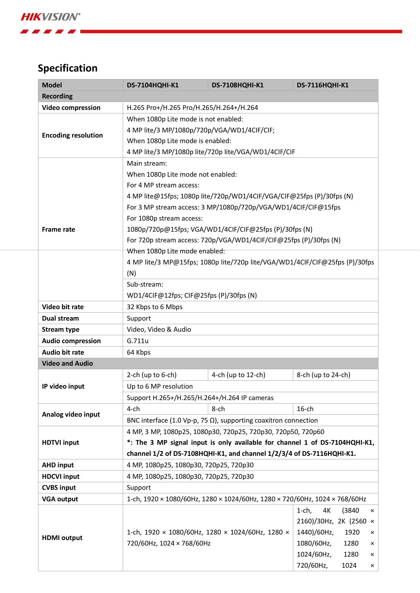**ABC** 

# **Specification**

| <b>Model</b>               | <b>DS-7104HQHI-K1</b>                                                         | <b>DS-7108HQHI-K1</b>                    | <b>DS-7116HQHI-K1</b>           |  |  |  |  |
|----------------------------|-------------------------------------------------------------------------------|------------------------------------------|---------------------------------|--|--|--|--|
| <b>Recording</b>           |                                                                               |                                          |                                 |  |  |  |  |
| Video compression          | H.265 Pro+/H.265 Pro/H.265/H.264+/H.264                                       |                                          |                                 |  |  |  |  |
| <b>Encoding resolution</b> | When 1080p Lite mode is not enabled:                                          |                                          |                                 |  |  |  |  |
|                            | 4 MP lite/3 MP/1080p/720p/VGA/WD1/4CIF/CIF;                                   |                                          |                                 |  |  |  |  |
|                            | When 1080p Lite mode is enabled:                                              |                                          |                                 |  |  |  |  |
|                            | 4 MP lite/3 MP/1080p lite/720p lite/VGA/WD1/4CIF/CIF                          |                                          |                                 |  |  |  |  |
| <b>Frame rate</b>          | Main stream:                                                                  |                                          |                                 |  |  |  |  |
|                            | When 1080p Lite mode not enabled:                                             |                                          |                                 |  |  |  |  |
|                            | For 4 MP stream access:                                                       |                                          |                                 |  |  |  |  |
|                            | 4 MP lite@15fps; 1080p lite/720p/WD1/4CIF/VGA/CIF@25fps (P)/30fps (N)         |                                          |                                 |  |  |  |  |
|                            | For 3 MP stream access: 3 MP/1080p/720p/VGA/WD1/4CIF/CIF@15fps                |                                          |                                 |  |  |  |  |
|                            | For 1080p stream access:                                                      |                                          |                                 |  |  |  |  |
|                            | 1080p/720p@15fps; VGA/WD1/4CIF/CIF@25fps (P)/30fps (N)                        |                                          |                                 |  |  |  |  |
|                            | For 720p stream access: 720p/VGA/WD1/4CIF/CIF@25fps (P)/30fps (N)             |                                          |                                 |  |  |  |  |
|                            | When 1080p Lite mode enabled:                                                 |                                          |                                 |  |  |  |  |
|                            | 4 MP lite/3 MP@15fps; 1080p lite/720p lite/VGA/WD1/4CIF/CIF@25fps (P)/30fps   |                                          |                                 |  |  |  |  |
|                            | (N)                                                                           |                                          |                                 |  |  |  |  |
|                            | Sub-stream:                                                                   |                                          |                                 |  |  |  |  |
|                            | WD1/4CIF@12fps; CIF@25fps (P)/30fps (N)                                       |                                          |                                 |  |  |  |  |
| Video bit rate             | 32 Kbps to 6 Mbps                                                             |                                          |                                 |  |  |  |  |
| Dual stream                | Support                                                                       |                                          |                                 |  |  |  |  |
| <b>Stream type</b>         | Video, Video & Audio                                                          |                                          |                                 |  |  |  |  |
| <b>Audio compression</b>   | G.711u                                                                        |                                          |                                 |  |  |  |  |
| <b>Audio bit rate</b>      | 64 Kbps                                                                       |                                          |                                 |  |  |  |  |
| <b>Video and Audio</b>     |                                                                               |                                          |                                 |  |  |  |  |
|                            | 2-ch (up to $6$ -ch)                                                          | 4-ch (up to 12-ch)<br>8-ch (up to 24-ch) |                                 |  |  |  |  |
| IP video input             | Up to 6 MP resolution                                                         |                                          |                                 |  |  |  |  |
|                            | Support H.265+/H.265/H.264+/H.264 IP cameras                                  |                                          |                                 |  |  |  |  |
|                            | 4-ch                                                                          | 8-ch                                     | $16$ -ch                        |  |  |  |  |
| Analog video input         | BNC interface (1.0 Vp-p, 75 $\Omega$ ), supporting coaxitron connection       |                                          |                                 |  |  |  |  |
|                            | 4 MP, 3 MP, 1080p25, 1080p30, 720p25, 720p30, 720p50, 720p60                  |                                          |                                 |  |  |  |  |
| <b>HDTVI input</b>         | *: The 3 MP signal input is only available for channel 1 of DS-7104HQHI-K1,   |                                          |                                 |  |  |  |  |
|                            | channel 1/2 of DS-7108HQHI-K1, and channel 1/2/3/4 of DS-7116HQHI-K1.         |                                          |                                 |  |  |  |  |
| <b>AHD input</b>           | 4 MP, 1080p25, 1080p30, 720p25, 720p30                                        |                                          |                                 |  |  |  |  |
| <b>HDCVI input</b>         | 4 MP, 1080p25, 1080p30, 720p25, 720p30                                        |                                          |                                 |  |  |  |  |
| <b>CVBS input</b>          | Support                                                                       |                                          |                                 |  |  |  |  |
| <b>VGA output</b>          | 1-ch, 1920 × 1080/60Hz, 1280 × 1024/60Hz, 1280 × 720/60Hz, 1024 × 768/60Hz    |                                          |                                 |  |  |  |  |
|                            |                                                                               |                                          | 4K<br>$1$ -ch,<br>(3840)<br>×   |  |  |  |  |
| <b>HDMI</b> output         |                                                                               | 2160)/30Hz, 2K (2560 ×                   |                                 |  |  |  |  |
|                            | 1-ch, 1920 × 1080/60Hz, 1280 × 1024/60Hz, 1280 ×<br>720/60Hz, 1024 × 768/60Hz |                                          | 1440)/60Hz,<br>1920<br>$\times$ |  |  |  |  |
|                            |                                                                               |                                          | 1080/60Hz,<br>1280<br>×         |  |  |  |  |
|                            |                                                                               |                                          | 1024/60Hz,<br>1280<br>×         |  |  |  |  |
|                            |                                                                               |                                          | 720/60Hz,<br>1024<br>×          |  |  |  |  |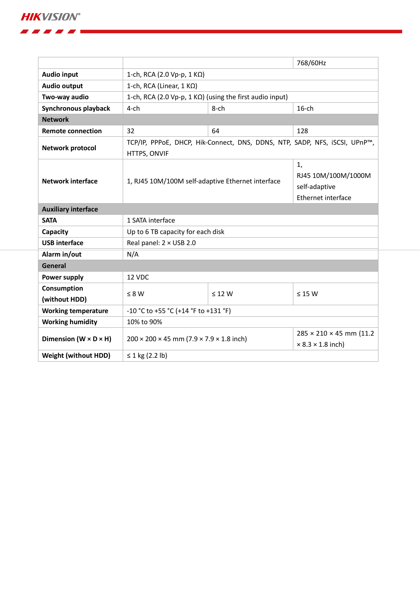**HIKVISION®** 

. . . . .

|                                     |                                                                                            |                                                                  | 768/60Hz                                                                |  |  |  |
|-------------------------------------|--------------------------------------------------------------------------------------------|------------------------------------------------------------------|-------------------------------------------------------------------------|--|--|--|
| <b>Audio input</b>                  | 1-ch, RCA (2.0 Vp-p, 1 KΩ)                                                                 |                                                                  |                                                                         |  |  |  |
| <b>Audio output</b>                 | 1-ch, RCA (Linear, $1 K\Omega$ )                                                           |                                                                  |                                                                         |  |  |  |
| Two-way audio                       | 1-ch, RCA (2.0 Vp-p, 1 KΩ) (using the first audio input)                                   |                                                                  |                                                                         |  |  |  |
| Synchronous playback                | $4$ -ch                                                                                    | $16$ -ch                                                         |                                                                         |  |  |  |
| <b>Network</b>                      |                                                                                            |                                                                  |                                                                         |  |  |  |
| <b>Remote connection</b>            | 32                                                                                         | 64                                                               | 128                                                                     |  |  |  |
| Network protocol                    | TCP/IP, PPPoE, DHCP, Hik-Connect, DNS, DDNS, NTP, SADP, NFS, iSCSI, UPnP™,<br>HTTPS, ONVIF |                                                                  |                                                                         |  |  |  |
| <b>Network interface</b>            | 1, RJ45 10M/100M self-adaptive Ethernet interface                                          | 1,<br>RJ45 10M/100M/1000M<br>self-adaptive<br>Ethernet interface |                                                                         |  |  |  |
| <b>Auxiliary interface</b>          |                                                                                            |                                                                  |                                                                         |  |  |  |
| <b>SATA</b>                         | 1 SATA interface                                                                           |                                                                  |                                                                         |  |  |  |
| Capacity                            | Up to 6 TB capacity for each disk                                                          |                                                                  |                                                                         |  |  |  |
| <b>USB interface</b>                | Real panel: $2 \times$ USB 2.0                                                             |                                                                  |                                                                         |  |  |  |
| Alarm in/out                        | N/A                                                                                        |                                                                  |                                                                         |  |  |  |
| General                             |                                                                                            |                                                                  |                                                                         |  |  |  |
| Power supply                        | 12 VDC                                                                                     |                                                                  |                                                                         |  |  |  |
| Consumption<br>(without HDD)        | $\leq 8 W$                                                                                 | $\leq$ 12 W                                                      | $\leq 15$ W                                                             |  |  |  |
| <b>Working temperature</b>          | -10 °C to +55 °C (+14 °F to +131 °F)                                                       |                                                                  |                                                                         |  |  |  |
| <b>Working humidity</b>             | 10% to 90%                                                                                 |                                                                  |                                                                         |  |  |  |
| Dimension ( $W \times D \times H$ ) | $200 \times 200 \times 45$ mm (7.9 $\times$ 7.9 $\times$ 1.8 inch)                         |                                                                  | $285 \times 210 \times 45$ mm (11.2)<br>$\times$ 8.3 $\times$ 1.8 inch) |  |  |  |
| <b>Weight (without HDD)</b>         | ≤ 1 kg $(2.2 \text{ lb})$                                                                  |                                                                  |                                                                         |  |  |  |